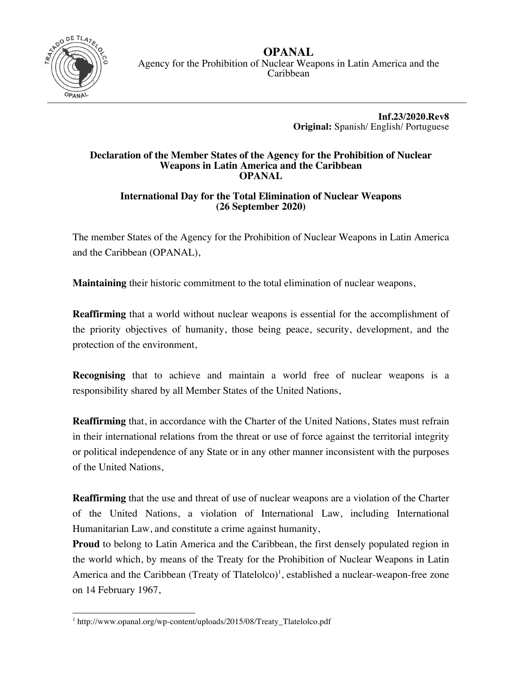

**OPANAL** Agency for the Prohibition of Nuclear Weapons in Latin America and the Caribbean

> **Inf.23/2020.Rev8 Original:** Spanish/ English/ Portuguese

## **Declaration of the Member States of the Agency for the Prohibition of Nuclear Weapons in Latin America and the Caribbean OPANAL**

## **International Day for the Total Elimination of Nuclear Weapons (26 September 2020)**

The member States of the Agency for the Prohibition of Nuclear Weapons in Latin America and the Caribbean (OPANAL),

**Maintaining** their historic commitment to the total elimination of nuclear weapons,

**Reaffirming** that a world without nuclear weapons is essential for the accomplishment of the priority objectives of humanity, those being peace, security, development, and the protection of the environment,

**Recognising** that to achieve and maintain a world free of nuclear weapons is a responsibility shared by all Member States of the United Nations,

**Reaffirming** that, in accordance with the Charter of the United Nations, States must refrain in their international relations from the threat or use of force against the territorial integrity or political independence of any State or in any other manner inconsistent with the purposes of the United Nations,

**Reaffirming** that the use and threat of use of nuclear weapons are a violation of the Charter of the United Nations, a violation of International Law, including International Humanitarian Law, and constitute a crime against humanity,

**Proud** to belong to Latin America and the Caribbean, the first densely populated region in the world which, by means of the Treaty for the Prohibition of Nuclear Weapons in Latin America and the Caribbean (Treaty of Tlatelolco)<sup>1</sup>, established a nuclear-weapon-free zone on 14 February 1967,

 <sup>1</sup> http://www.opanal.org/wp-content/uploads/2015/08/Treaty\_Tlatelolco.pdf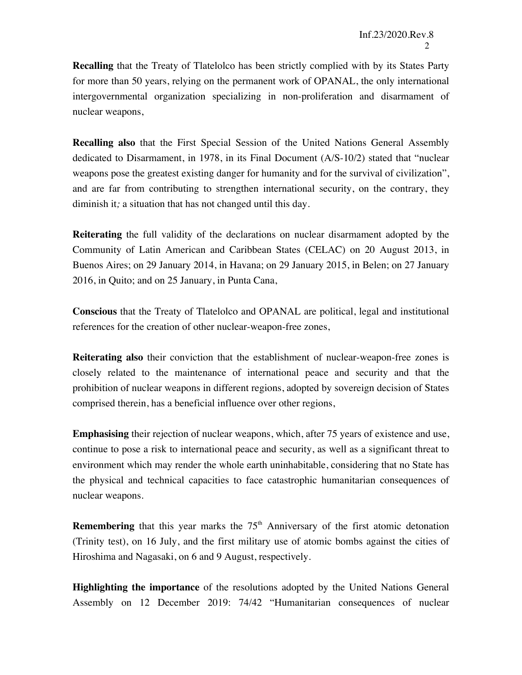**Recalling** that the Treaty of Tlatelolco has been strictly complied with by its States Party for more than 50 years, relying on the permanent work of OPANAL, the only international intergovernmental organization specializing in non-proliferation and disarmament of nuclear weapons,

**Recalling also** that the First Special Session of the United Nations General Assembly dedicated to Disarmament, in 1978, in its Final Document (A/S-10/2) stated that "nuclear weapons pose the greatest existing danger for humanity and for the survival of civilization", and are far from contributing to strengthen international security, on the contrary, they diminish it*;* a situation that has not changed until this day.

**Reiterating** the full validity of the declarations on nuclear disarmament adopted by the Community of Latin American and Caribbean States (CELAC) on 20 August 2013, in Buenos Aires; on 29 January 2014, in Havana; on 29 January 2015, in Belen; on 27 January 2016, in Quito; and on 25 January, in Punta Cana,

**Conscious** that the Treaty of Tlatelolco and OPANAL are political, legal and institutional references for the creation of other nuclear-weapon-free zones,

**Reiterating also** their conviction that the establishment of nuclear-weapon-free zones is closely related to the maintenance of international peace and security and that the prohibition of nuclear weapons in different regions, adopted by sovereign decision of States comprised therein, has a beneficial influence over other regions,

**Emphasising** their rejection of nuclear weapons, which, after 75 years of existence and use, continue to pose a risk to international peace and security, as well as a significant threat to environment which may render the whole earth uninhabitable, considering that no State has the physical and technical capacities to face catastrophic humanitarian consequences of nuclear weapons.

**Remembering** that this year marks the  $75<sup>th</sup>$  Anniversary of the first atomic detonation (Trinity test), on 16 July, and the first military use of atomic bombs against the cities of Hiroshima and Nagasaki, on 6 and 9 August, respectively.

**Highlighting the importance** of the resolutions adopted by the United Nations General Assembly on 12 December 2019: 74/42 "Humanitarian consequences of nuclear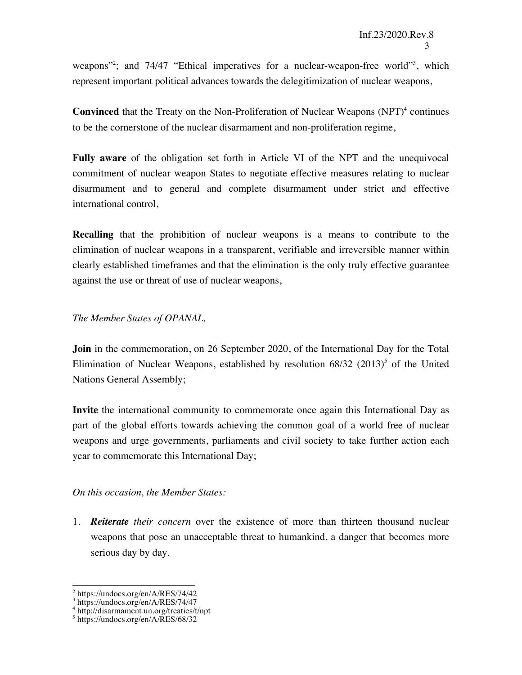weapons"<sup>2</sup>; and 74/47 "Ethical imperatives for a nuclear-weapon-free world"<sup>3</sup>, which represent important political advances towards the delegitimization of nuclear weapons,

**Convinced** that the Treaty on the Non-Proliferation of Nuclear Weapons (NPT)<sup>4</sup> continues to be the cornerstone of the nuclear disarmament and non-proliferation regime,

**Fully aware** of the obligation set forth in Article VI of the NPT and the unequivocal commitment of nuclear weapon States to negotiate effective measures relating to nuclear disarmament and to general and complete disarmament under strict and effective international control,

**Recalling** that the prohibition of nuclear weapons is a means to contribute to the elimination of nuclear weapons in a transparent, verifiable and irreversible manner within clearly established timeframes and that the elimination is the only truly effective guarantee against the use or threat of use of nuclear weapons,

## *The Member States of OPANAL,*

**Join** in the commemoration, on 26 September 2020, of the International Day for the Total Elimination of Nuclear Weapons, established by resolution  $68/32$  (2013)<sup>5</sup> of the United Nations General Assembly;

**Invite** the international community to commemorate once again this International Day as part of the global efforts towards achieving the common goal of a world free of nuclear weapons and urge governments, parliaments and civil society to take further action each year to commemorate this International Day;

## *On this occasion, the Member States:*

1. *Reiterate their concern* over the existence of more than thirteen thousand nuclear weapons that pose an unacceptable threat to humankind, a danger that becomes more serious day by day.

 <sup>2</sup> https://undocs.org/en/A/RES/74/42

 $3$  https://undocs.org/en/A/RES/74/47

<sup>4</sup> http://disarmament.un.org/treaties/t/npt

<sup>5</sup> https://undocs.org/en/A/RES/68/32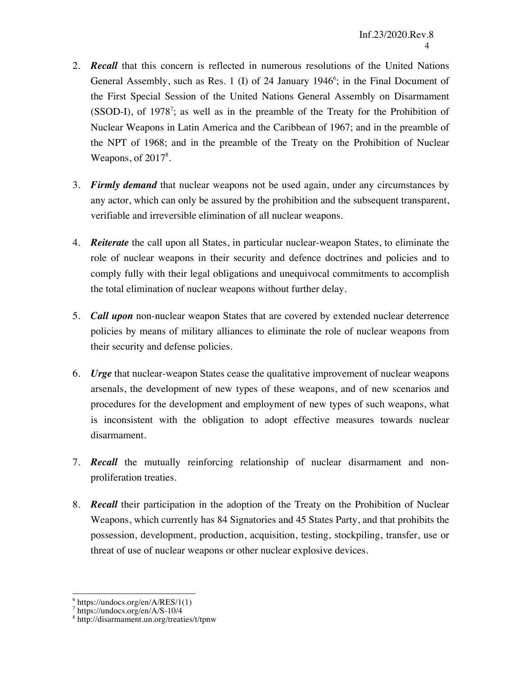- 2. *Recall* that this concern is reflected in numerous resolutions of the United Nations General Assembly, such as Res. 1 (I) of 24 January 1946<sup>6</sup>; in the Final Document of the First Special Session of the United Nations General Assembly on Disarmament  $(SSOD-I)$ , of 1978<sup>7</sup>; as well as in the preamble of the Treaty for the Prohibition of Nuclear Weapons in Latin America and the Caribbean of 1967; and in the preamble of the NPT of 1968; and in the preamble of the Treaty on the Prohibition of Nuclear Weapons, of  $2017<sup>8</sup>$ .
- 3. *Firmly demand* that nuclear weapons not be used again, under any circumstances by any actor, which can only be assured by the prohibition and the subsequent transparent, verifiable and irreversible elimination of all nuclear weapons.
- 4. *Reiterate* the call upon all States, in particular nuclear-weapon States, to eliminate the role of nuclear weapons in their security and defence doctrines and policies and to comply fully with their legal obligations and unequivocal commitments to accomplish the total elimination of nuclear weapons without further delay.
- 5. *Call upon* non-nuclear weapon States that are covered by extended nuclear deterrence policies by means of military alliances to eliminate the role of nuclear weapons from their security and defense policies.
- 6. *Urge* that nuclear-weapon States cease the qualitative improvement of nuclear weapons arsenals, the development of new types of these weapons, and of new scenarios and procedures for the development and employment of new types of such weapons, what is inconsistent with the obligation to adopt effective measures towards nuclear disarmament.
- 7. *Recall* the mutually reinforcing relationship of nuclear disarmament and nonproliferation treaties.
- 8. *Recall* their participation in the adoption of the Treaty on the Prohibition of Nuclear Weapons, which currently has 84 Signatories and 45 States Party, and that prohibits the possession, development, production, acquisition, testing, stockpiling, transfer, use or threat of use of nuclear weapons or other nuclear explosive devices.

 $\frac{6}{7}$  https://undocs.org/en/A/RES/1(1)<br> $\frac{7}{8}$  https://undocs.org/en/A/S-10/4

<sup>&</sup>lt;sup>8</sup> http://disarmament.un.org/treaties/t/tpnw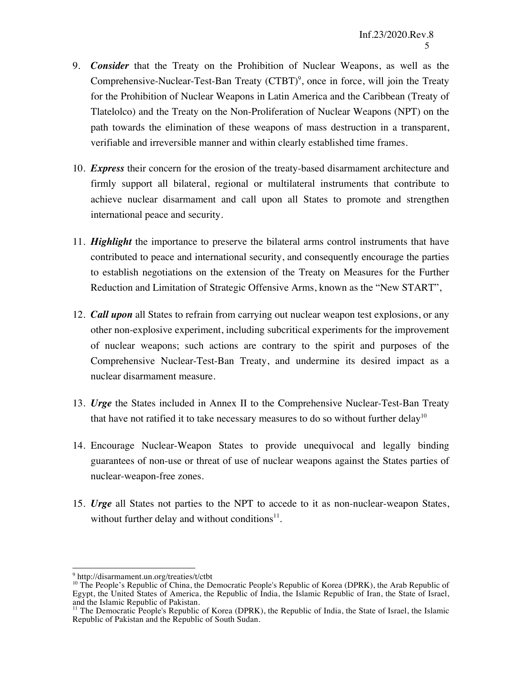- 9. *Consider* that the Treaty on the Prohibition of Nuclear Weapons, as well as the Comprehensive-Nuclear-Test-Ban Treaty  $(CTBT)^9$ , once in force, will join the Treaty for the Prohibition of Nuclear Weapons in Latin America and the Caribbean (Treaty of Tlatelolco) and the Treaty on the Non-Proliferation of Nuclear Weapons (NPT) on the path towards the elimination of these weapons of mass destruction in a transparent, verifiable and irreversible manner and within clearly established time frames.
- 10. *Express* their concern for the erosion of the treaty-based disarmament architecture and firmly support all bilateral, regional or multilateral instruments that contribute to achieve nuclear disarmament and call upon all States to promote and strengthen international peace and security.
- 11. *Highlight* the importance to preserve the bilateral arms control instruments that have contributed to peace and international security, and consequently encourage the parties to establish negotiations on the extension of the Treaty on Measures for the Further Reduction and Limitation of Strategic Offensive Arms, known as the "New START",
- 12. *Call upon* all States to refrain from carrying out nuclear weapon test explosions, or any other non-explosive experiment, including subcritical experiments for the improvement of nuclear weapons; such actions are contrary to the spirit and purposes of the Comprehensive Nuclear-Test-Ban Treaty, and undermine its desired impact as a nuclear disarmament measure.
- 13. *Urge* the States included in Annex II to the Comprehensive Nuclear-Test-Ban Treaty that have not ratified it to take necessary measures to do so without further delay<sup>10</sup>
- 14. Encourage Nuclear-Weapon States to provide unequivocal and legally binding guarantees of non-use or threat of use of nuclear weapons against the States parties of nuclear-weapon-free zones.
- 15. *Urge* all States not parties to the NPT to accede to it as non-nuclear-weapon States, without further delay and without conditions $11$ .

<sup>9&</sup>lt;br>http://disarmament.un.org/treaties/t/ctbt

<sup>&</sup>lt;sup>10</sup> The People's Republic of China, the Democratic People's Republic of Korea (DPRK), the Arab Republic of Egypt, the United States of America, the Republic of India, the Islamic Republic of Iran, the State of Israel, and the Islamic Republic of Pakistan.

<sup>&</sup>lt;sup>11</sup> The Democratic People's Republic of Korea (DPRK), the Republic of India, the State of Israel, the Islamic Republic of Pakistan and the Republic of South Sudan.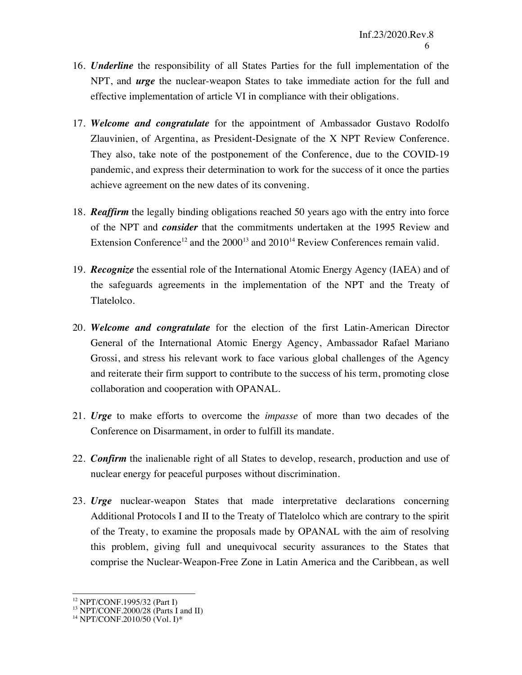- 16. *Underline* the responsibility of all States Parties for the full implementation of the NPT, and *urge* the nuclear-weapon States to take immediate action for the full and effective implementation of article VI in compliance with their obligations.
- 17. *Welcome and congratulate* for the appointment of Ambassador Gustavo Rodolfo Zlauvinien, of Argentina, as President-Designate of the X NPT Review Conference. They also, take note of the postponement of the Conference, due to the COVID-19 pandemic, and express their determination to work for the success of it once the parties achieve agreement on the new dates of its convening.
- 18. *Reaffirm* the legally binding obligations reached 50 years ago with the entry into force of the NPT and *consider* that the commitments undertaken at the 1995 Review and Extension Conference<sup>12</sup> and the  $2000^{13}$  and  $2010^{14}$  Review Conferences remain valid.
- 19. *Recognize* the essential role of the International Atomic Energy Agency (IAEA) and of the safeguards agreements in the implementation of the NPT and the Treaty of Tlatelolco.
- 20. *Welcome and congratulate* for the election of the first Latin-American Director General of the International Atomic Energy Agency, Ambassador Rafael Mariano Grossi, and stress his relevant work to face various global challenges of the Agency and reiterate their firm support to contribute to the success of his term, promoting close collaboration and cooperation with OPANAL.
- 21. *Urge* to make efforts to overcome the *impasse* of more than two decades of the Conference on Disarmament, in order to fulfill its mandate.
- 22. *Confirm* the inalienable right of all States to develop, research, production and use of nuclear energy for peaceful purposes without discrimination.
- 23. *Urge* nuclear-weapon States that made interpretative declarations concerning Additional Protocols I and II to the Treaty of Tlatelolco which are contrary to the spirit of the Treaty, to examine the proposals made by OPANAL with the aim of resolving this problem, giving full and unequivocal security assurances to the States that comprise the Nuclear-Weapon-Free Zone in Latin America and the Caribbean, as well

<sup>&</sup>lt;sup>12</sup> NPT/CONF.1995/32 (Part I)<br><sup>13</sup> NPT/CONF.2000/28 (Parts I and II)<br><sup>14</sup> NPT/CONF.2010/50 (Vol. I)\*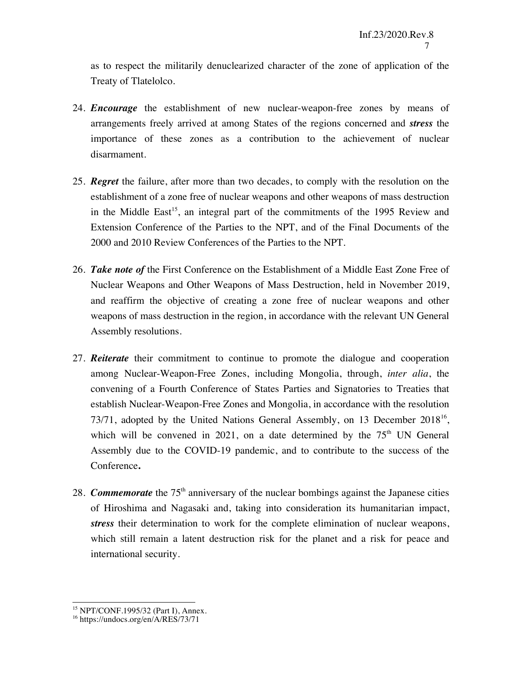as to respect the militarily denuclearized character of the zone of application of the Treaty of Tlatelolco.

- 24. *Encourage* the establishment of new nuclear-weapon-free zones by means of arrangements freely arrived at among States of the regions concerned and *stress* the importance of these zones as a contribution to the achievement of nuclear disarmament.
- 25. *Regret* the failure, after more than two decades, to comply with the resolution on the establishment of a zone free of nuclear weapons and other weapons of mass destruction in the Middle East<sup>15</sup>, an integral part of the commitments of the 1995 Review and Extension Conference of the Parties to the NPT, and of the Final Documents of the 2000 and 2010 Review Conferences of the Parties to the NPT.
- 26. *Take note of* the First Conference on the Establishment of a Middle East Zone Free of Nuclear Weapons and Other Weapons of Mass Destruction, held in November 2019, and reaffirm the objective of creating a zone free of nuclear weapons and other weapons of mass destruction in the region, in accordance with the relevant UN General Assembly resolutions.
- 27. *Reiterate* their commitment to continue to promote the dialogue and cooperation among Nuclear-Weapon-Free Zones, including Mongolia, through, *inter alia*, the convening of a Fourth Conference of States Parties and Signatories to Treaties that establish Nuclear-Weapon-Free Zones and Mongolia, in accordance with the resolution 73/71, adopted by the United Nations General Assembly, on 13 December 2018<sup>16</sup>, which will be convened in 2021, on a date determined by the  $75<sup>th</sup>$  UN General Assembly due to the COVID-19 pandemic, and to contribute to the success of the Conference**.**
- 28. *Commemorate* the 75th anniversary of the nuclear bombings against the Japanese cities of Hiroshima and Nagasaki and, taking into consideration its humanitarian impact, *stress* their determination to work for the complete elimination of nuclear weapons, which still remain a latent destruction risk for the planet and a risk for peace and international security.

<sup>&</sup>lt;sup>15</sup> NPT/CONF.1995/32 (Part I), Annex.<br><sup>16</sup> https://undocs.org/en/A/RES/73/71